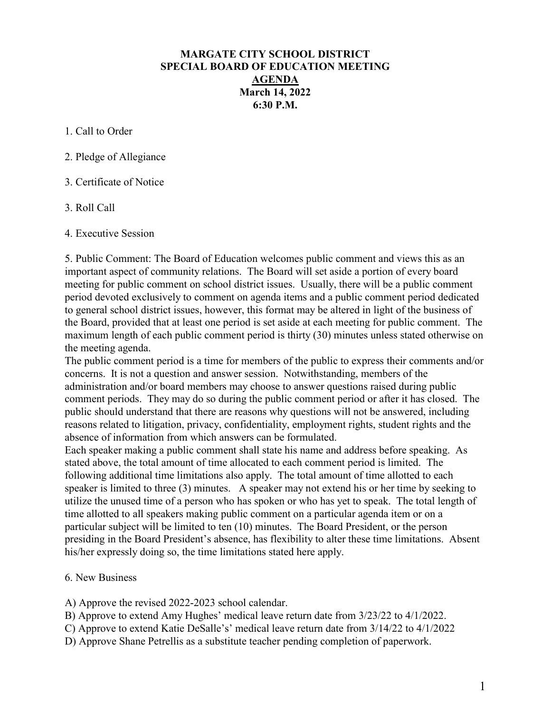## MARGATE CITY SCHOOL DISTRICT SPECIAL BOARD OF EDUCATION MEETING AGENDA March 14, 2022 6:30 P.M.

1. Call to Order

2. Pledge of Allegiance

3. Certificate of Notice

3. Roll Call

4. Executive Session

5. Public Comment: The Board of Education welcomes public comment and views this as an important aspect of community relations. The Board will set aside a portion of every board meeting for public comment on school district issues. Usually, there will be a public comment period devoted exclusively to comment on agenda items and a public comment period dedicated to general school district issues, however, this format may be altered in light of the business of the Board, provided that at least one period is set aside at each meeting for public comment. The maximum length of each public comment period is thirty (30) minutes unless stated otherwise on the meeting agenda.

The public comment period is a time for members of the public to express their comments and/or concerns. It is not a question and answer session. Notwithstanding, members of the administration and/or board members may choose to answer questions raised during public comment periods. They may do so during the public comment period or after it has closed. The public should understand that there are reasons why questions will not be answered, including reasons related to litigation, privacy, confidentiality, employment rights, student rights and the absence of information from which answers can be formulated.

Each speaker making a public comment shall state his name and address before speaking. As stated above, the total amount of time allocated to each comment period is limited. The following additional time limitations also apply. The total amount of time allotted to each speaker is limited to three (3) minutes. A speaker may not extend his or her time by seeking to utilize the unused time of a person who has spoken or who has yet to speak. The total length of time allotted to all speakers making public comment on a particular agenda item or on a particular subject will be limited to ten (10) minutes. The Board President, or the person presiding in the Board President's absence, has flexibility to alter these time limitations. Absent his/her expressly doing so, the time limitations stated here apply.

## 6. New Business

A) Approve the revised 2022-2023 school calendar.

B) Approve to extend Amy Hughes' medical leave return date from 3/23/22 to 4/1/2022.

- C) Approve to extend Katie DeSalle's' medical leave return date from 3/14/22 to 4/1/2022
- D) Approve Shane Petrellis as a substitute teacher pending completion of paperwork.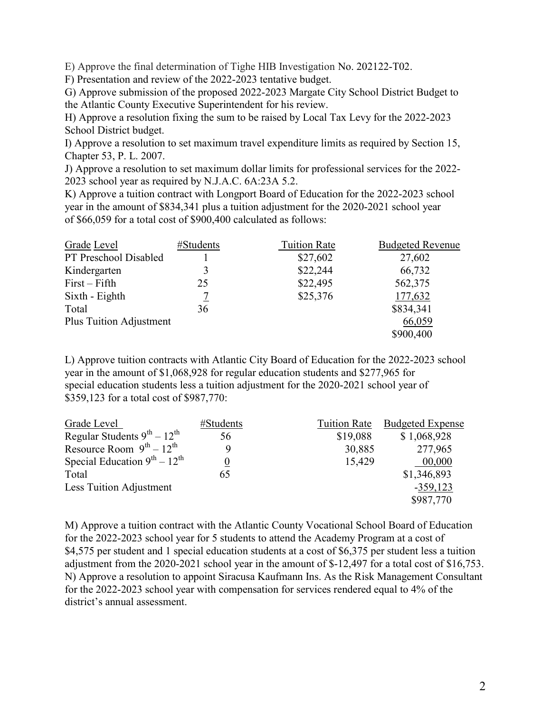E) Approve the final determination of Tighe HIB Investigation No. 202122-T02.

F) Presentation and review of the 2022-2023 tentative budget.

G) Approve submission of the proposed 2022-2023 Margate City School District Budget to the Atlantic County Executive Superintendent for his review.

H) Approve a resolution fixing the sum to be raised by Local Tax Levy for the 2022-2023 School District budget.

I) Approve a resolution to set maximum travel expenditure limits as required by Section 15, Chapter 53, P. L. 2007.

J) Approve a resolution to set maximum dollar limits for professional services for the 2022- 2023 school year as required by N.J.A.C. 6A:23A 5.2.

K) Approve a tuition contract with Longport Board of Education for the 2022-2023 school year in the amount of \$834,341 plus a tuition adjustment for the 2020-2021 school year of \$66,059 for a total cost of \$900,400 calculated as follows:

| Grade Level             | #Students | <b>Tuition Rate</b> | <b>Budgeted Revenue</b> |
|-------------------------|-----------|---------------------|-------------------------|
| PT Preschool Disabled   |           | \$27,602            | 27,602                  |
| Kindergarten            | 3         | \$22,244            | 66,732                  |
| $First-Fifth$           | 25        | \$22,495            | 562,375                 |
| Sixth - Eighth          | 7         | \$25,376            | 177,632                 |
| Total                   | 36        |                     | \$834,341               |
| Plus Tuition Adjustment |           |                     | 66,059                  |
|                         |           |                     | \$900,400               |

L) Approve tuition contracts with Atlantic City Board of Education for the 2022-2023 school year in the amount of \$1,068,928 for regular education students and \$277,965 for special education students less a tuition adjustment for the 2020-2021 school year of \$359,123 for a total cost of \$987,770:

| Grade Level                          | #Students        | Tuition Rate | <b>Budgeted Expense</b> |
|--------------------------------------|------------------|--------------|-------------------------|
| Regular Students $9^{th} - 12^{th}$  | 56               | \$19,088     | \$1,068,928             |
| Resource Room $9^{th} - 12^{th}$     | 9                | 30,885       | 277,965                 |
| Special Education $9^{th} - 12^{th}$ | $\boldsymbol{0}$ | 15,429       | 00,000                  |
| Total                                | 65               |              | \$1,346,893             |
| Less Tuition Adjustment              |                  |              | $-359,123$              |
|                                      |                  |              | \$987,770               |

M) Approve a tuition contract with the Atlantic County Vocational School Board of Education for the 2022-2023 school year for 5 students to attend the Academy Program at a cost of \$4,575 per student and 1 special education students at a cost of \$6,375 per student less a tuition adjustment from the 2020-2021 school year in the amount of \$-12,497 for a total cost of \$16,753. N) Approve a resolution to appoint Siracusa Kaufmann Ins. As the Risk Management Consultant for the 2022-2023 school year with compensation for services rendered equal to 4% of the district's annual assessment.